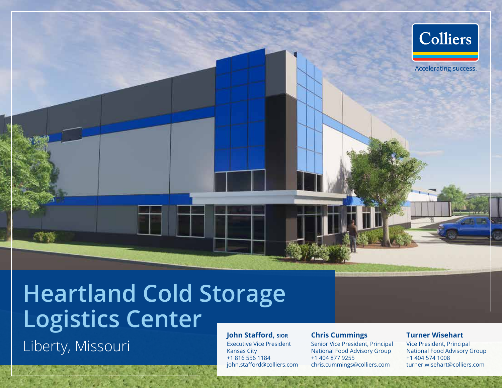

**Heartland Cold Storage Logistics Center John Stafford, sior**

Liberty, Missouri

Executive Vice President

Kansas City +1 816 556 1184 john.stafford@colliers.com

#### **Chris Cummings**

Senior Vice President, Principal National Food Advisory Group +1 404 877 9255 chris.cummings@colliers.com

#### **Turner Wisehart**

Vice President, Principal National Food Advisory Group +1 404 574 1008 turner.wisehart@colliers.com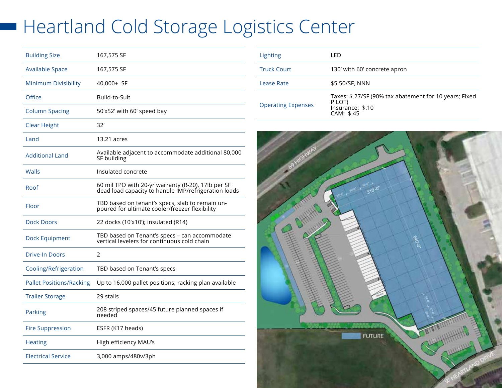# Heartland Cold Storage Logistics Center

| <b>Building Size</b>            | 167,575 SF                                                                                                 |
|---------------------------------|------------------------------------------------------------------------------------------------------------|
| <b>Available Space</b>          | 167,575 SF                                                                                                 |
| <b>Minimum Divisibility</b>     | 40,000± SF                                                                                                 |
| Office                          | Build-to-Suit                                                                                              |
| <b>Column Spacing</b>           | 50'x52' with 60' speed bay                                                                                 |
| <b>Clear Height</b>             | 32'                                                                                                        |
| Land                            | 13.21 acres                                                                                                |
| <b>Additional Land</b>          | Available adjacent to accommodate additional 80,000<br>SF building                                         |
| Walls                           | Insulated concrete                                                                                         |
| Roof                            | 60 mil TPO with 20-yr warranty (R-20), 17lb per SF<br>dead load capacity to handle IMP/refrigeration loads |
| Floor                           | TBD based on tenant's specs, slab to remain un-<br>poured for ultimate cooler/freezer flexibility          |
| <b>Dock Doors</b>               | 22 docks (10'x10'); insulated (R14)                                                                        |
| <b>Dock Equipment</b>           | TBD based on Tenant's specs - can accommodate<br>vertical levelers for continuous cold chain               |
| <b>Drive-In Doors</b>           | 2                                                                                                          |
| Cooling/Refrigeration           | TBD based on Tenant's specs                                                                                |
| <b>Pallet Positions/Racking</b> | Up to 16,000 pallet positions; racking plan available                                                      |
| <b>Trailer Storage</b>          | 29 stalls                                                                                                  |
| Parking                         | 208 striped spaces/45 future planned spaces if<br>needed                                                   |
| <b>Fire Suppression</b>         | ESFR (K17 heads)                                                                                           |
| <b>Heating</b>                  | High efficiency MAU's                                                                                      |
| <b>Electrical Service</b>       | 3,000 amps/480v/3ph                                                                                        |

| Lighting                  | I FD                                                                                               |
|---------------------------|----------------------------------------------------------------------------------------------------|
| <b>Truck Court</b>        | 130' with 60' concrete apron                                                                       |
| Lease Rate                | \$5.50/SF, NNN                                                                                     |
| <b>Operating Expenses</b> | Taxes: \$.27/SF (90% tax abatement for 10 years; Fixed<br>PILOT)<br>Insurance: \$.10<br>CAM: \$.45 |

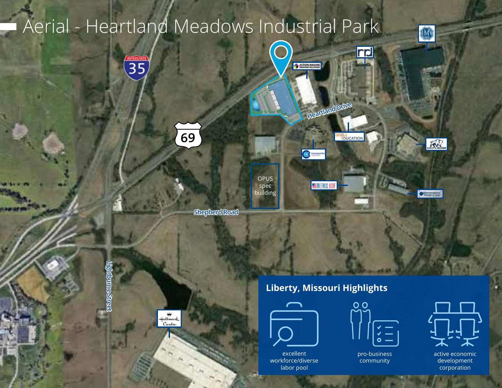## Aerial - Heartland Meadows Industrial Park 0 **nd** INTERSTATE ACRON MALINO **Heartland Drive 69 ODELL**<br>EDUCATION **AR**  $\mathbf{G}$ OPUS spec **ESTRETAIS ISI** buildingWear Con **Shepherd Road**

**Lightburne Street** doume Stre



## **Liberty, Missouri Highlights**



excellent workforce/diverse labor pool



pro-business community



active economic development corporation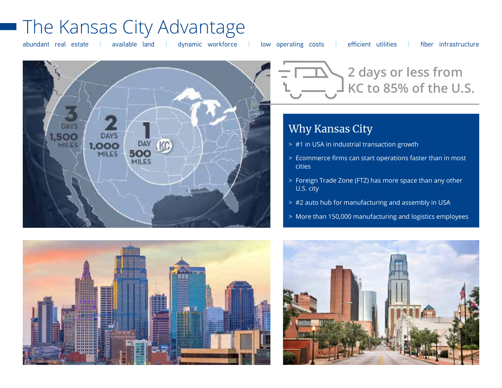## The Kansas City Advantage

abundant real estate | available land | dynamic workforce | low operating costs | efficient utilities | fiber infrastructure





## Why Kansas City

- > #1 in USA in industrial transaction growth
- > Ecommerce firms can start operations faster than in most cities
- > Foreign Trade Zone (FTZ) has more space than any other U.S. city
- > #2 auto hub for manufacturing and assembly in USA
- > More than 150,000 manufacturing and logistics employees



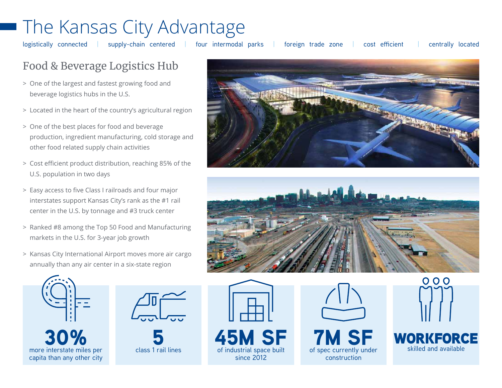# The Kansas City Advantage

logistically connected | supply-chain centered | four intermodal parks | foreign trade zone | cost efficient | centrally located

## Food & Beverage Logistics Hub

- > One of the largest and fastest growing food and beverage logistics hubs in the U.S.
- > Located in the heart of the country's agricultural region
- > One of the best places for food and beverage production, ingredient manufacturing, cold storage and other food related supply chain activities
- > Cost efficient product distribution, reaching 85% of the U.S. population in two days
- > Easy access to five Class I railroads and four major interstates support Kansas City's rank as the #1 rail center in the U.S. by tonnage and #3 truck center
- > Ranked #8 among the Top 50 Food and Manufacturing markets in the U.S. for 3-year job growth
- > Kansas City International Airport moves more air cargo annually than any air center in a six-state region









since 2012